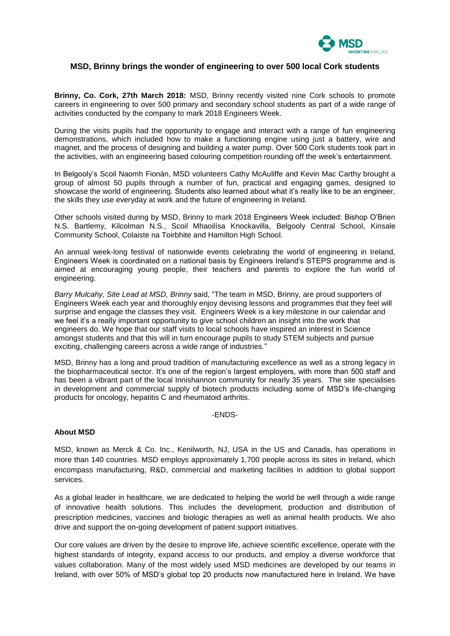

## **MSD, Brinny brings the wonder of engineering to over 500 local Cork students**

**Brinny, Co. Cork, 27th March 2018:** MSD, Brinny recently visited nine Cork schools to promote careers in engineering to over 500 primary and secondary school students as part of a wide range of activities conducted by the company to mark 2018 Engineers Week.

During the visits pupils had the opportunity to engage and interact with a range of fun engineering demonstrations, which included how to make a functioning engine using just a battery, wire and magnet, and the process of designing and building a water pump. Over 500 Cork students took part in the activities, with an engineering based colouring competition rounding off the week's entertainment.

In Belgooly's Scoil Naomh Fionán, MSD volunteers Cathy McAuliffe and Kevin Mac Carthy brought a group of almost 50 pupils through a number of fun, practical and engaging games, designed to showcase the world of engineering. Students also learned about what it's really like to be an engineer, the skills they use everyday at work and the future of engineering in Ireland.

Other schools visited during by MSD, Brinny to mark 2018 Engineers Week included: Bishop O'Brien N.S. Bartlemy, Kilcolman N.S., Scoil Mhaoilísa Knockavilla, Belgooly Central School, Kinsale Community School, Colaiste na Toirbhite and Hamilton High School.

An annual week-long festival of nationwide events celebrating the world of engineering in Ireland, Engineers Week is coordinated on a national basis by Engineers Ireland's STEPS programme and is aimed at encouraging young people, their teachers and parents to explore the fun world of engineering.

*Barry Mulcahy, Site Lead at MSD, Brinny* said, "The team in MSD, Brinny, are proud supporters of Engineers Week each year and thoroughly enjoy devising lessons and programmes that they feel will surprise and engage the classes they visit. Engineers Week is a key milestone in our calendar and we feel it's a really important opportunity to give school children an insight into the work that engineers do. We hope that our staff visits to local schools have inspired an interest in Science amongst students and that this will in turn encourage pupils to study STEM subjects and pursue exciting, challenging careers across a wide range of industries."

MSD, Brinny has a long and proud tradition of manufacturing excellence as well as a strong legacy in the biopharmaceutical sector. It's one of the region's largest employers, with more than 500 staff and has been a vibrant part of the local Innishannon community for nearly 35 years. The site specialises in development and commercial supply of biotech products including some of MSD's life-changing products for oncology, hepatitis C and rheumatoid arthritis.

-ENDS-

## **About MSD**

MSD, known as Merck & Co. Inc., Kenilworth, NJ, USA in the US and Canada, has operations in more than 140 countries. MSD employs approximately 1,700 people across its sites in Ireland, which encompass manufacturing, R&D, commercial and marketing facilities in addition to global support services.

As a global leader in healthcare, we are dedicated to helping the world be well through a wide range of innovative health solutions. This includes the development, production and distribution of prescription medicines, vaccines and biologic therapies as well as animal health products. We also drive and support the on-going development of patient support initiatives.

Our core values are driven by the desire to improve life, achieve scientific excellence, operate with the highest standards of integrity, expand access to our products, and employ a diverse workforce that values collaboration. Many of the most widely used MSD medicines are developed by our teams in Ireland, with over 50% of MSD's global top 20 products now manufactured here in Ireland. We have